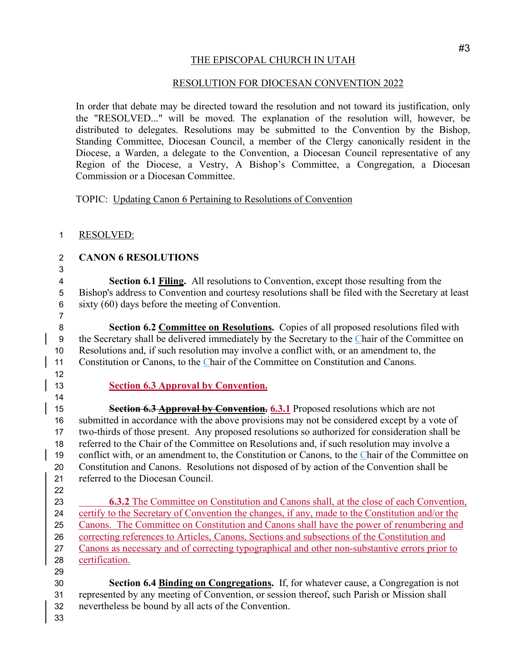## THE EPISCOPAL CHURCH IN UTAH

## RESOLUTION FOR DIOCESAN CONVENTION 2022

In order that debate may be directed toward the resolution and not toward its justification, only the "RESOLVED..." will be moved. The explanation of the resolution will, however, be distributed to delegates. Resolutions may be submitted to the Convention by the Bishop, Standing Committee, Diocesan Council, a member of the Clergy canonically resident in the Diocese, a Warden, a delegate to the Convention, a Diocesan Council representative of any Region of the Diocese, a Vestry, A Bishop's Committee, a Congregation, a Diocesan Commission or a Diocesan Committee.

TOPIC: Updating Canon 6 Pertaining to Resolutions of Convention

- RESOLVED:
- **CANON 6 RESOLUTIONS**
- 

 **Section 6.1 Filing.** All resolutions to Convention, except those resulting from the Bishop's address to Convention and courtesy resolutions shall be filed with the Secretary at least sixty (60) days before the meeting of Convention.

 **Section 6.2 Committee on Resolutions.** Copies of all proposed resolutions filed with the Secretary shall be delivered immediately by the Secretary to the Chair of the Committee on Resolutions and, if such resolution may involve a conflict with, or an amendment to, the Constitution or Canons, to the Chair of the Committee on Constitution and Canons.

**Section 6.3 Approval by Convention.**

 **Section 6.3 Approval by Convention. 6.3.1** Proposed resolutions which are not submitted in accordance with the above provisions may not be considered except by a vote of two-thirds of those present. Any proposed resolutions so authorized for consideration shall be referred to the Chair of the Committee on Resolutions and, if such resolution may involve a conflict with, or an amendment to, the Constitution or Canons, to the Chair of the Committee on Constitution and Canons. Resolutions not disposed of by action of the Convention shall be referred to the Diocesan Council.

 **6.3.2** The Committee on Constitution and Canons shall, at the close of each Convention, certify to the Secretary of Convention the changes, if any, made to the Constitution and/or the Canons. The Committee on Constitution and Canons shall have the power of renumbering and correcting references to Articles, Canons, Sections and subsections of the Constitution and Canons as necessary and of correcting typographical and other non-substantive errors prior to certification.

 **Section 6.4 Binding on Congregations.** If, for whatever cause, a Congregation is not represented by any meeting of Convention, or session thereof, such Parish or Mission shall nevertheless be bound by all acts of the Convention.